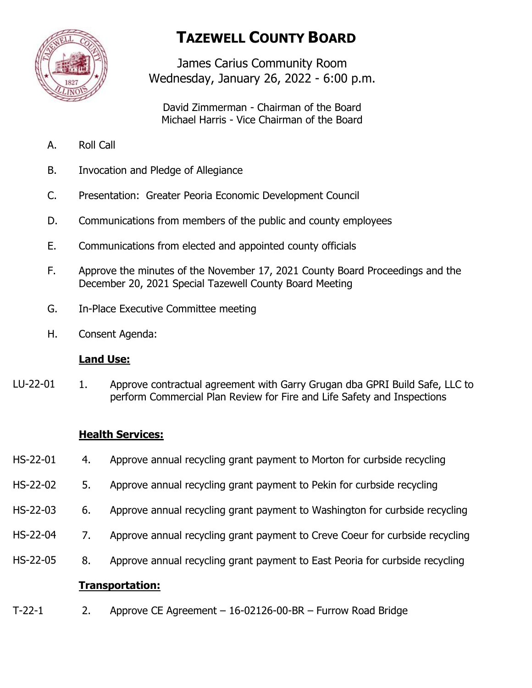

# **TAZEWELL COUNTY BOARD**

James Carius Community Room Wednesday, January 26, 2022 - 6:00 p.m.

David Zimmerman - Chairman of the Board Michael Harris - Vice Chairman of the Board

- A. Roll Call
- B. Invocation and Pledge of Allegiance
- C. Presentation: Greater Peoria Economic Development Council
- D. Communications from members of the public and county employees
- E. Communications from elected and appointed county officials
- F. Approve the minutes of the November 17, 2021 County Board Proceedings and the December 20, 2021 Special Tazewell County Board Meeting
- G. In-Place Executive Committee meeting
- H. Consent Agenda:

## **Land Use:**

1. Approve contractual agreement with Garry Grugan dba GPRI Build Safe, LLC to perform Commercial Plan Review for Fire and Life Safety and Inspections LU-22-01

## **Health Services:**

- 4. Approve annual recycling grant payment to Morton for curbside recycling HS-22-01
- 5. Approve annual recycling grant payment to Pekin for curbside recycling HS-22-02
- 6. Approve annual recycling grant payment to Washington for curbside recycling HS-22-03
- 7. Approve annual recycling grant payment to Creve Coeur for curbside recycling HS-22-04
- 8. Approve annual recycling grant payment to East Peoria for curbside recycling HS-22-05

## **Transportation:**

2. Approve CE Agreement – 16-02126-00-BR – Furrow Road Bridge T-22-1